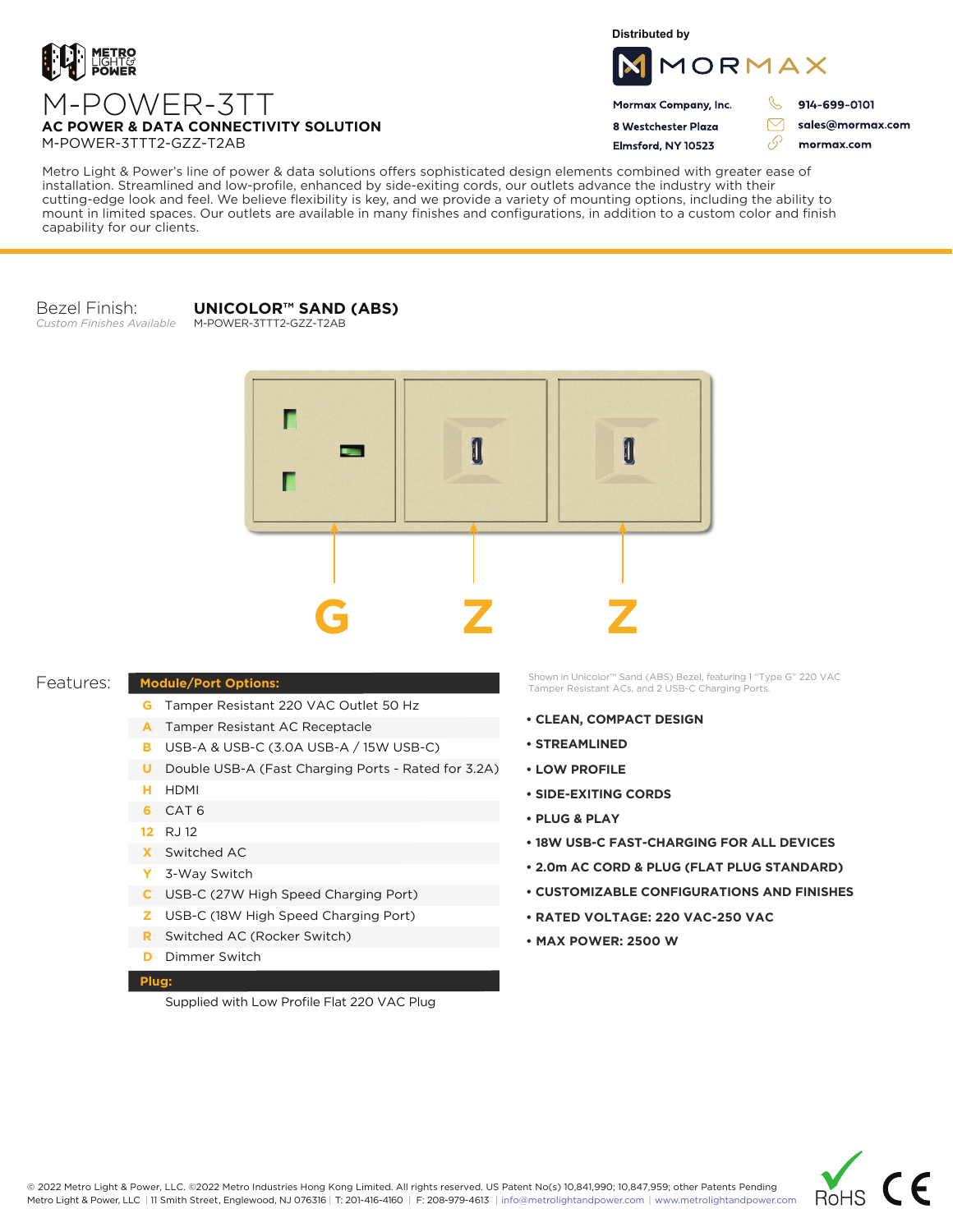

**Distributed by**



Mormax Company, Inc. 8 Westchester Plaza

Flmsford, NY 10523

914-699-0101

sales@mormax.com mormax.com

 $\triangledown$ 

76

**AC POWER & DATA CONNECTIVITY SOLUTION** M-POWER-3TTT2-GZZ-T2AB

M-POWER-3TT

Metro Light & Power's line of power & data solutions offers sophisticated design elements combined with greater ease of installation. Streamlined and low-profile, enhanced by side-exiting cords, our outlets advance the industry with their cutting-edge look and feel. We believe flexibility is key, and we provide a variety of mounting options, including the ability to mount in limited spaces. Our outlets are available in many finishes and configurations, in addition to a custom color and finish capability for our clients.

Bezel Finish: *Custom Finishes Available*

## **UNICOLOR™ SAND (ABS)**

M-POWER-3TTT2-GZZ-T2AB



## Features:

- **G** Tamper Resistant 220 VAC Outlet 50 Hz
- A Tamper Resistant AC Receptacle
- USB-A & USB-C (3.0A USB-A / 15W USB-C) **B**
- U Double USB-A (Fast Charging Ports Rated for 3.2A)
- HDMI **H**
- CAT 6 **6**
- 12 RJ 12
- Switched AC **X**

**Module/Port Options:**

- 3-Way Switch **Y**
- USB-C (27W High Speed Charging Port) **C**
- USB-C (18W High Speed Charging Port) **Z**
- Switched AC (Rocker Switch) **R**
- **D** Dimmer Switch

## **Plug:**

Supplied with Low Profile Flat 220 VAC Plug

Shown in Unicolor™ Sand (ABS) Bezel, featuring 1 "Type G" 220 VAC Tamper Resistant ACs, and 2 USB-C Charging Ports.

- **CLEAN, COMPACT DESIGN**
- **STREAMLINED**
- **LOW PROFILE**
- **SIDE-EXITING CORDS**
- **PLUG & PLAY**
- **18W USB-C FAST-CHARGING FOR ALL DEVICES**
- **2.0m AC CORD & PLUG (FLAT PLUG STANDARD)**
- **CUSTOMIZABLE CONFIGURATIONS AND FINISHES**
- **• RATED VOLTAGE: 220 VAC-250 VAC**
- **MAX POWER: 2500 W**